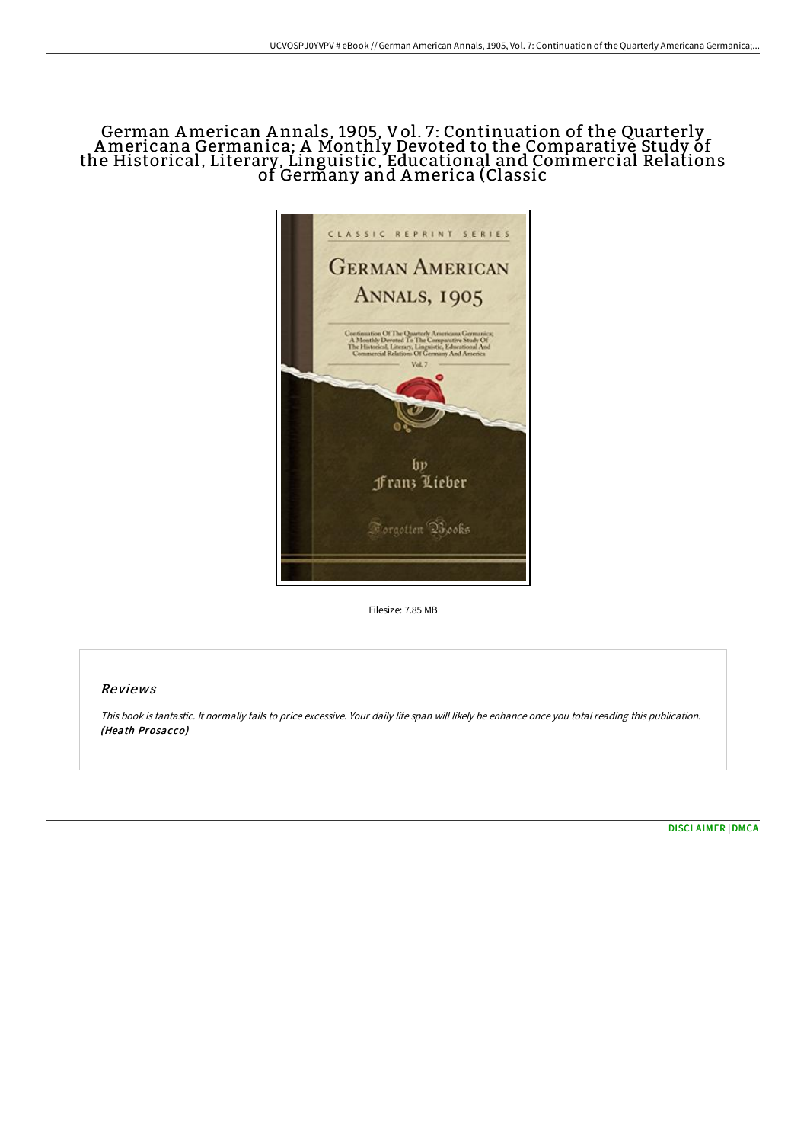# German American A nnals, 1905, Vol. 7: Continuation of the Quarterly Americana Germanica; A Monthly Devoted to the Comparative Study of the Historical, Literary, Linguistic, Educational and Commercial Relations of Germany and America (Classic



Filesize: 7.85 MB

# Reviews

This book is fantastic. It normally fails to price excessive. Your daily life span will likely be enhance once you total reading this publication. (Heath Prosacco)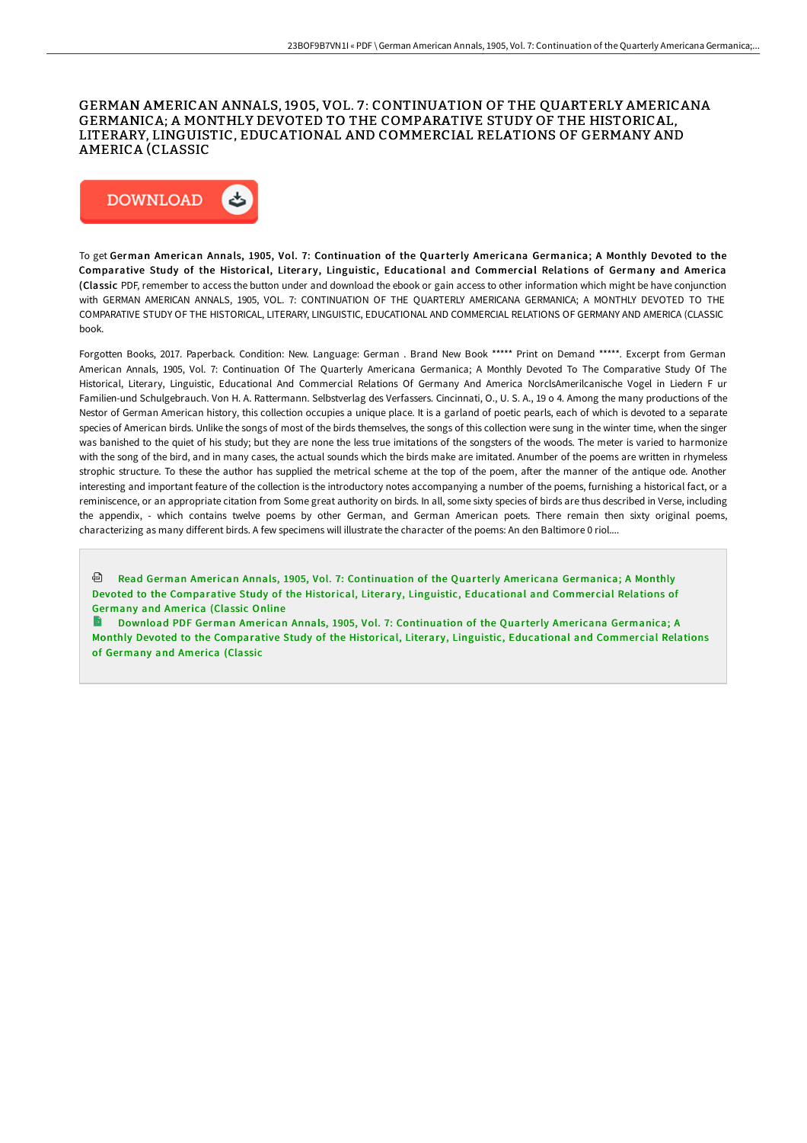## GERMAN AMERICAN ANNALS, 1905, VOL. 7 : CONTINUATION OF THE QUARTERLY AMERICANA GERMANICA; A MONTHLY DEVOTED TO THE COMPARATIVE STUDY OF THE HISTORICAL, LITERARY, LINGUISTIC, EDUCATIONAL AND COMMERCIAL RELATIONS OF GERMANY AND AMERICA (CLASSIC



To get German American Annals, 1905, Vol. 7: Continuation of the Quarterly Americana Germanica; A Monthly Devoted to the Comparative Study of the Historical, Literary, Linguistic, Educational and Commercial Relations of Germany and America (Classic PDF, remember to access the button under and download the ebook or gain access to other information which might be have conjunction with GERMAN AMERICAN ANNALS, 1905, VOL. 7: CONTINUATION OF THE QUARTERLY AMERICANA GERMANICA; A MONTHLY DEVOTED TO THE COMPARATIVE STUDY OF THE HISTORICAL, LITERARY, LINGUISTIC, EDUCATIONAL AND COMMERCIAL RELATIONS OF GERMANY AND AMERICA (CLASSIC book.

Forgotten Books, 2017. Paperback. Condition: New. Language: German . Brand New Book \*\*\*\*\* Print on Demand \*\*\*\*\*. Excerpt from German American Annals, 1905, Vol. 7: Continuation Of The Quarterly Americana Germanica; A Monthly Devoted To The Comparative Study Of The Historical, Literary, Linguistic, Educational And Commercial Relations Of Germany And America NorclsAmerilcanische Vogel in Liedern F ur Familien-und Schulgebrauch. Von H. A. Rattermann. Selbstverlag des Verfassers. Cincinnati, O., U. S. A., 19 o 4. Among the many productions of the Nestor of German American history, this collection occupies a unique place. It is a garland of poetic pearls, each of which is devoted to a separate species of American birds. Unlike the songs of most of the birds themselves, the songs of this collection were sung in the winter time, when the singer was banished to the quiet of his study; but they are none the less true imitations of the songsters of the woods. The meter is varied to harmonize with the song of the bird, and in many cases, the actual sounds which the birds make are imitated. Anumber of the poems are written in rhymeless strophic structure. To these the author has supplied the metrical scheme at the top of the poem, after the manner of the antique ode. Another interesting and important feature of the collection is the introductory notes accompanying a number of the poems, furnishing a historical fact, or a reminiscence, or an appropriate citation from Some great authority on birds. In all, some sixty species of birds are thus described in Verse, including the appendix, - which contains twelve poems by other German, and German American poets. There remain then sixty original poems, characterizing as many different birds. A few specimens will illustrate the character of the poems: An den Baltimore 0 riol....

Read German American Annals, 1905, Vol. 7: [Continuation](http://techno-pub.tech/german-american-annals-1905-vol-7-continuation-o.html) of the Quarterly Americana Germanica; A Monthly Devoted to the Comparative Study of the Historical, Literary, Linguistic, Educational and Commercial Relations of Germany and America (Classic Online

Download PDF German American Annals, 1905, Vol. 7: [Continuation](http://techno-pub.tech/german-american-annals-1905-vol-7-continuation-o.html) of the Quarterly Americana Germanica; A Monthly Devoted to the Comparative Study of the Historical, Literary, Linguistic, Educational and Commercial Relations of Germany and America (Classic